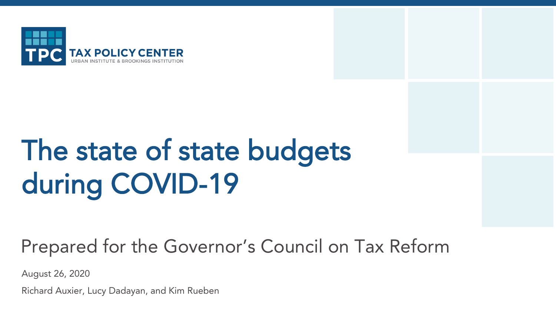

# The state of state budgets during COVID-19

Prepared for the Governor's Council on Tax Reform

August 26, 2020

Richard Auxier, Lucy Dadayan, and Kim Rueben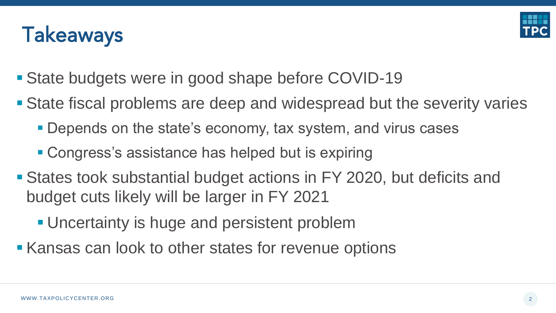



- State budgets were in good shape before COVID-19
- **State fiscal problems are deep and widespread but the severity varies** 
	- **Depends on the state's economy, tax system, and virus cases**
	- Congress's assistance has helped but is expiring
- **Example 3 States took substantial budget actions in FY 2020, but deficits and** budget cuts likely will be larger in FY 2021
	- **. Uncertainty is huge and persistent problem**
- Kansas can look to other states for revenue options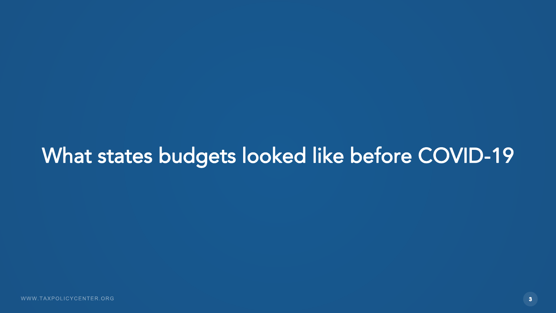#### What states budgets looked like before COVID-19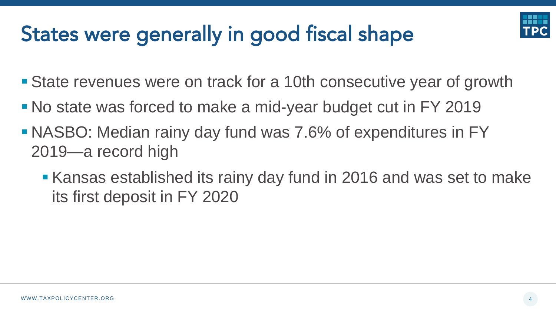## States were generally in good fiscal shape

- State revenues were on track for a 10th consecutive year of growth
- No state was forced to make a mid-year budget cut in FY 2019
- NASBO: Median rainy day fund was 7.6% of expenditures in FY 2019—a record high
	- Kansas established its rainy day fund in 2016 and was set to make its first deposit in FY 2020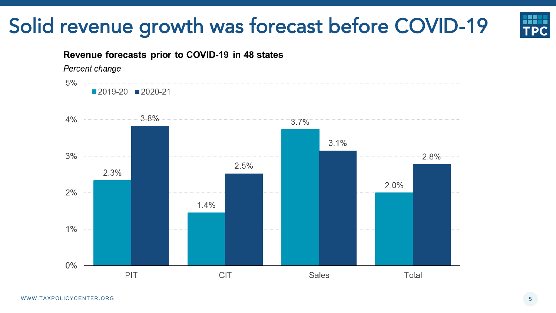#### Solid revenue growth was forecast before COVID-19



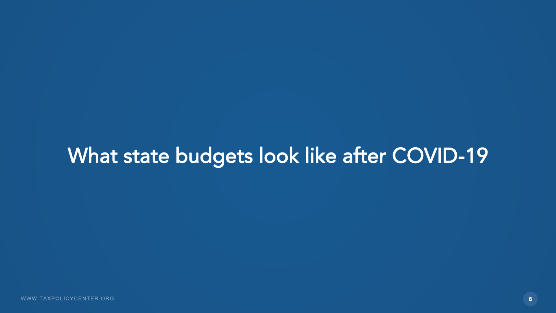#### What state budgets look like after COVID-19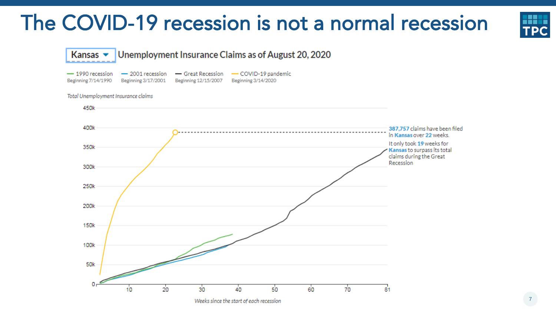#### The COVID-19 recession is not a normal recession





Weeks since the start of each recession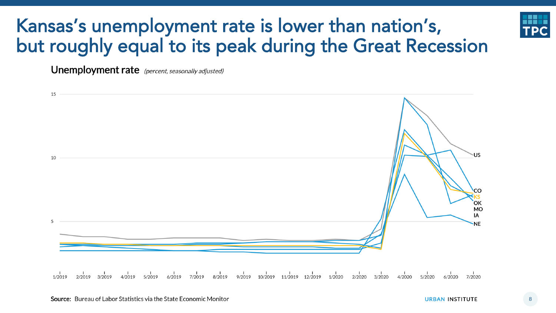#### Kansas's unemployment rate is lower than nation's, but roughly equal to its peak during the Great Recession

**Unemployment rate** (percent, seasonally adjusted)

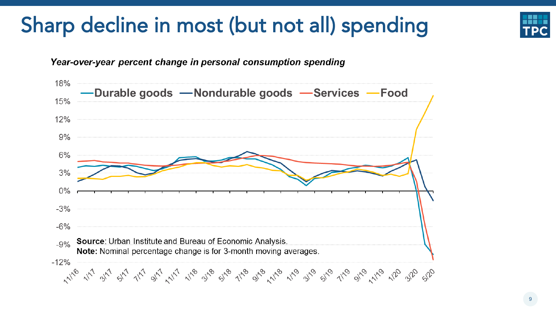#### Sharp decline in most (but not all) spending

Year-over-year percent change in personal consumption spending



9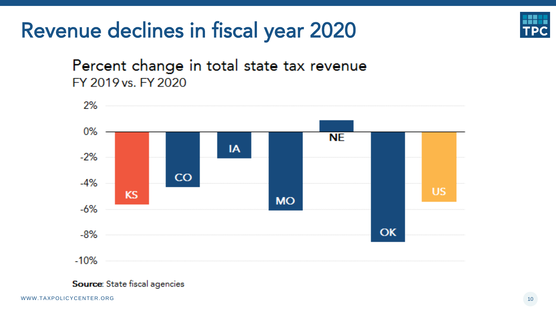#### Revenue declines in fiscal year 2020



#### Percent change in total state tax revenue FY 2019 vs. FY 2020



Source: State fiscal agencies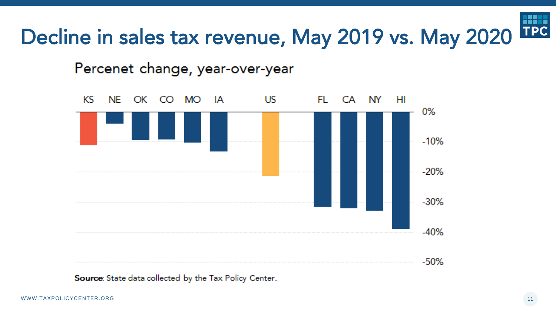#### TPC Decline in sales tax revenue, May 2019 vs. May 2020

Percenet change, year-over-year



Source: State data collected by the Tax Policy Center.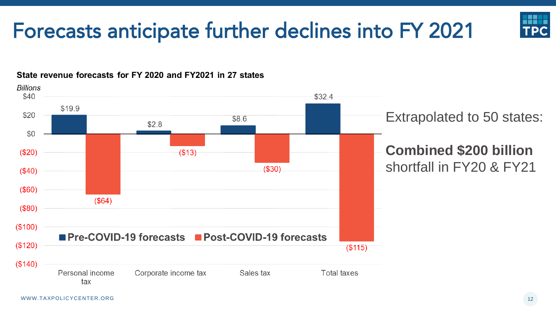#### Forecasts anticipate further declines into FY 2021

State revenue forecasts for FY 2020 and FY2021 in 27 states



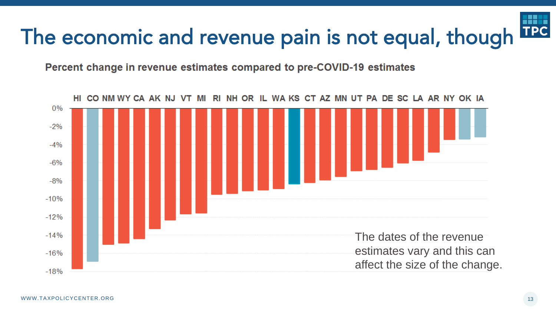#### **TPC** The economic and revenue pain is not equal, though

Percent change in revenue estimates compared to pre-COVID-19 estimates

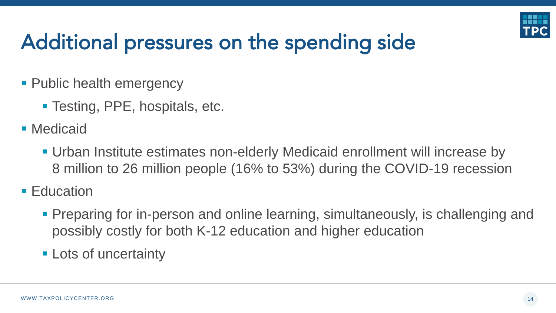

## Additional pressures on the spending side

- **Public health emergency** 
	- Testing, PPE, hospitals, etc.
- Medicaid
	- Urban Institute estimates non-elderly Medicaid enrollment will increase by 8 million to 26 million people (16% to 53%) during the COVID-19 recession
- Education
	- **Preparing for in-person and online learning, simultaneously, is challenging and** possibly costly for both K-12 education and higher education
	- **Example 1 Lots of uncertainty**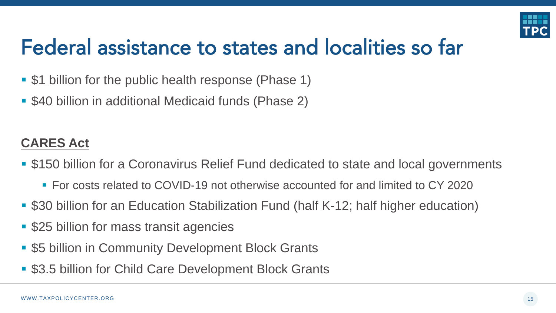

#### Federal assistance to states and localities so far

- \$1 billion for the public health response (Phase 1)
- \$40 billion in additional Medicaid funds (Phase 2)

#### **CARES Act**

- \$150 billion for a Coronavirus Relief Fund dedicated to state and local governments
	- For costs related to COVID-19 not otherwise accounted for and limited to CY 2020
- \$30 billion for an Education Stabilization Fund (half K-12; half higher education)
- \$25 billion for mass transit agencies
- \$5 billion in Community Development Block Grants
- \$3.5 billion for Child Care Development Block Grants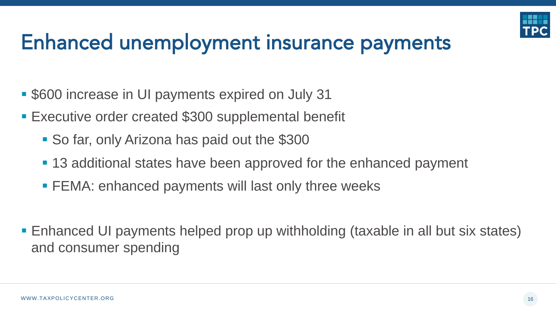

#### Enhanced unemployment insurance payments

- \$600 increase in UI payments expired on July 31
- Executive order created \$300 supplemental benefit
	- So far, only Arizona has paid out the \$300
	- 13 additional states have been approved for the enhanced payment
	- FEMA: enhanced payments will last only three weeks
- Enhanced UI payments helped prop up withholding (taxable in all but six states) and consumer spending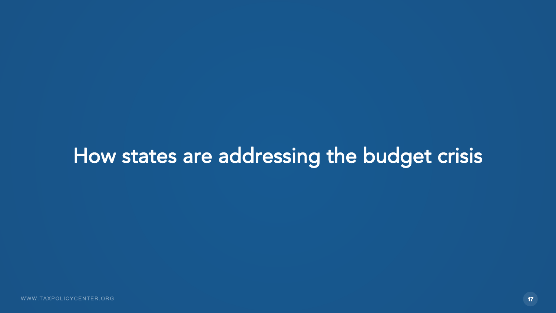#### How states are addressing the budget crisis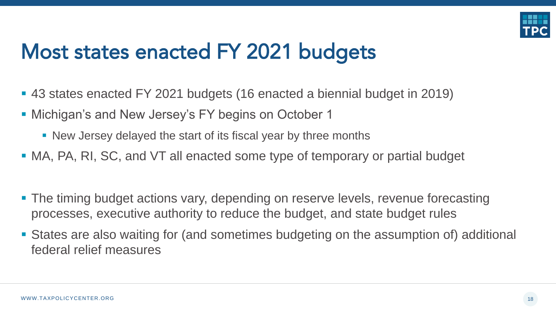

#### Most states enacted FY 2021 budgets

- 43 states enacted FY 2021 budgets (16 enacted a biennial budget in 2019)
- Michigan's and New Jersey's FY begins on October 1
	- New Jersey delayed the start of its fiscal year by three months
- MA, PA, RI, SC, and VT all enacted some type of temporary or partial budget
- The timing budget actions vary, depending on reserve levels, revenue forecasting processes, executive authority to reduce the budget, and state budget rules
- States are also waiting for (and sometimes budgeting on the assumption of) additional federal relief measures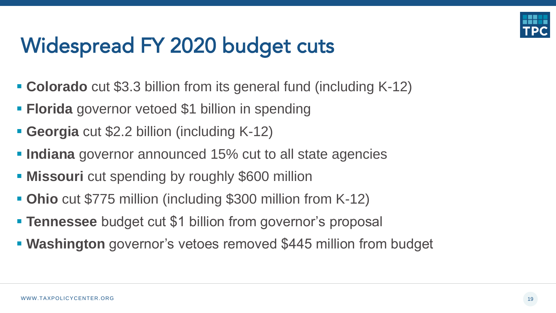

#### Widespread FY 2020 budget cuts

- **Colorado** cut \$3.3 billion from its general fund (including K-12)
- **Elorida** governor vetoed \$1 billion in spending
- **Georgia** cut \$2.2 billion (including K-12)
- **Indiana** governor announced 15% cut to all state agencies
- **EXILED Missouri** cut spending by roughly \$600 million
- **Ohio** cut \$775 million (including \$300 million from K-12)
- **Example 31 Figure 10 Tennessee** budget cut \$1 billion from governor's proposal
- **EXALE FIRM Washington** governor's vetoes removed \$445 million from budget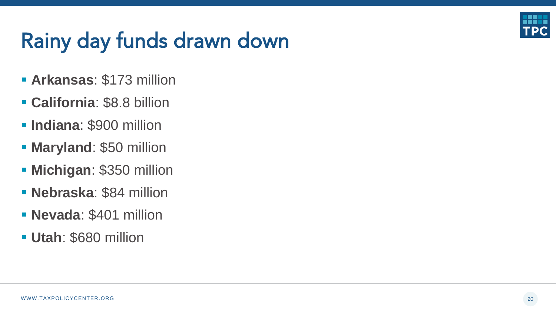

#### Rainy day funds drawn down

- **Arkansas**: \$173 million
- **California**: \$8.8 billion
- **Indiana**: \$900 million
- **E** Maryland: \$50 million
- **E** Michigan: \$350 million
- **Nebraska**: \$84 million
- **Nevada**: \$401 million
- **Utah**: \$680 million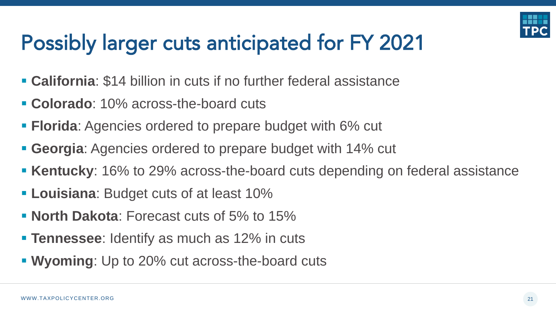

## Possibly larger cuts anticipated for FY 2021

- **California**: \$14 billion in cuts if no further federal assistance
- **Colorado**: 10% across-the-board cuts
- **Florida**: Agencies ordered to prepare budget with 6% cut
- **Georgia**: Agencies ordered to prepare budget with 14% cut
- **EXENTUCKY:** 16% to 29% across-the-board cuts depending on federal assistance
- **Example 2 Louisiana:** Budget cuts of at least 10%
- **North Dakota**: Forecast cuts of 5% to 15%
- **Example 1 Tennessee:** Identify as much as 12% in cuts
- **Wyoming**: Up to 20% cut across-the-board cuts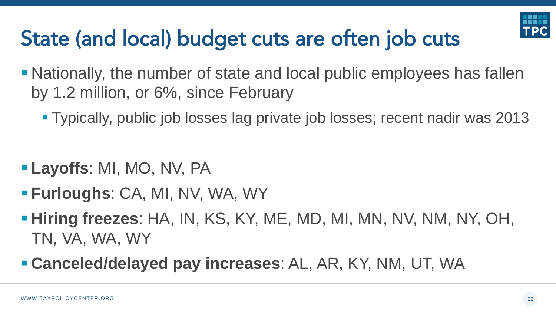

## State (and local) budget cuts are often job cuts

- Nationally, the number of state and local public employees has fallen by 1.2 million, or 6%, since February
	- Typically, public job losses lag private job losses; recent nadir was 2013

- **Layoffs**: MI, MO, NV, PA
- **Furloughs**: CA, MI, NV, WA, WY
- **Hiring freezes:** HA, IN, KS, KY, ME, MD, MI, MN, NV, NM, NY, OH, TN, VA, WA, WY
- **Canceled/delayed pay increases**: AL, AR, KY, NM, UT, WA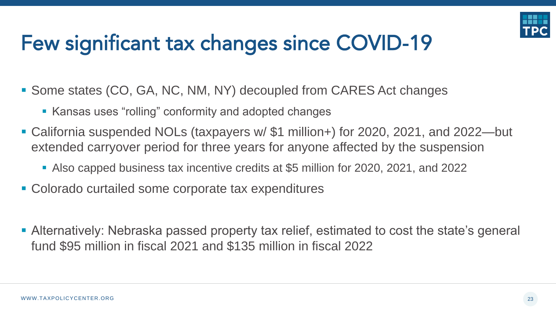

## Few significant tax changes since COVID-19

- Some states (CO, GA, NC, NM, NY) decoupled from CARES Act changes
	- **EXALLE ASS** Extending and adopted changes
- California suspended NOLs (taxpayers w/ \$1 million+) for 2020, 2021, and 2022—but extended carryover period for three years for anyone affected by the suspension
	- Also capped business tax incentive credits at \$5 million for 2020, 2021, and 2022
- Colorado curtailed some corporate tax expenditures
- **Alternatively: Nebraska passed property tax relief, estimated to cost the state's general** fund \$95 million in fiscal 2021 and \$135 million in fiscal 2022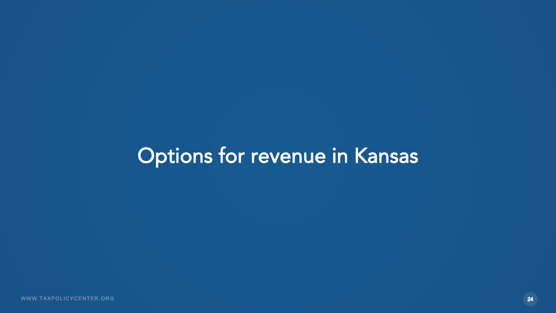#### Options for revenue in Kansas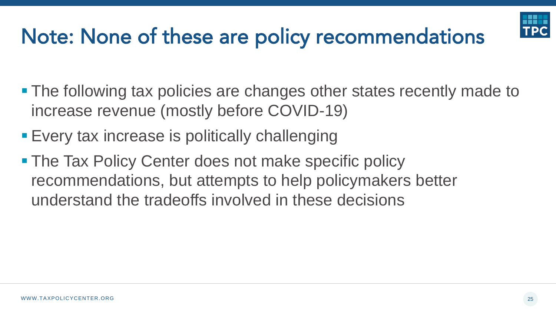## Note: None of these are policy recommendations

- The following tax policies are changes other states recently made to increase revenue (mostly before COVID-19)
- **Every tax increase is politically challenging**
- The Tax Policy Center does not make specific policy recommendations, but attempts to help policymakers better understand the tradeoffs involved in these decisions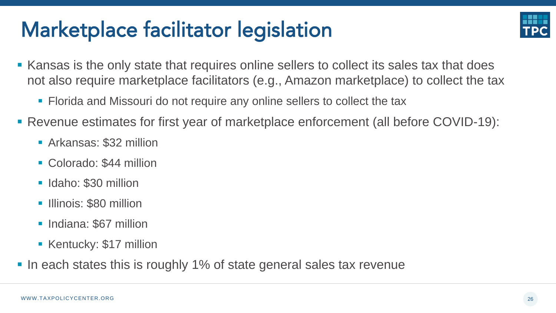#### Marketplace facilitator legislation



- Kansas is the only state that requires online sellers to collect its sales tax that does not also require marketplace facilitators (e.g., Amazon marketplace) to collect the tax
	- Florida and Missouri do not require any online sellers to collect the tax
- Revenue estimates for first year of marketplace enforcement (all before COVID-19):
	- Arkansas: \$32 million
	- Colorado: \$44 million
	- **E** Idaho: \$30 million
	- **Illinois: \$80 million**
	- **E** Indiana: \$67 million
	- **EXECUTE: Kentucky: \$17 million**
- In each states this is roughly 1% of state general sales tax revenue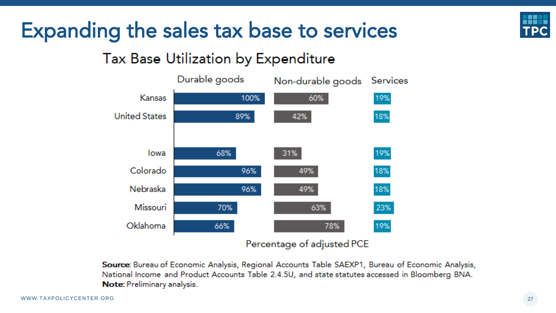

#### Expanding the sales tax base to services

#### Tax Base Utilization by Expenditure



Percentage of adjusted PCE

Source: Bureau of Economic Analysis, Regional Accounts Table SAEXP1, Bureau of Economic Analysis, National Income and Product Accounts Table 2.4.5U, and state statutes accessed in Bloomberg BNA. Note: Preliminary analysis.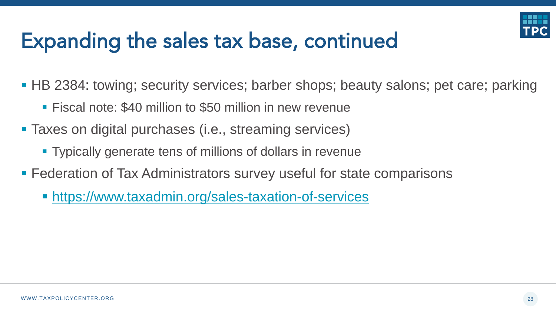

#### Expanding the sales tax base, continued

■ HB 2384: towing; security services; barber shops; beauty salons; pet care; parking

- Fiscal note: \$40 million to \$50 million in new revenue
- Taxes on digital purchases (i.e., streaming services)
	- Typically generate tens of millions of dollars in revenue
- **EXEGERATION FIGUREY IS ADMINISTY CONTROLLY FEDERATION FIGUREY FEDERATION FIGUREY FEDERATIONS** 
	- **<https://www.taxadmin.org/sales-taxation-of-services>**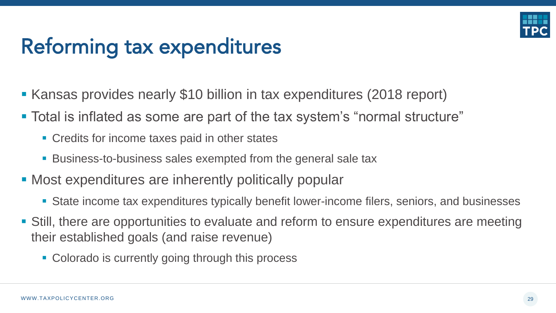

#### Reforming tax expenditures

- Kansas provides nearly \$10 billion in tax expenditures (2018 report)
- Total is inflated as some are part of the tax system's "normal structure"
	- **Credits for income taxes paid in other states**
	- Business-to-business sales exempted from the general sale tax
- Most expenditures are inherently politically popular
	- **State income tax expenditures typically benefit lower-income filers, seniors, and businesses**
- Still, there are opportunities to evaluate and reform to ensure expenditures are meeting their established goals (and raise revenue)
	- Colorado is currently going through this process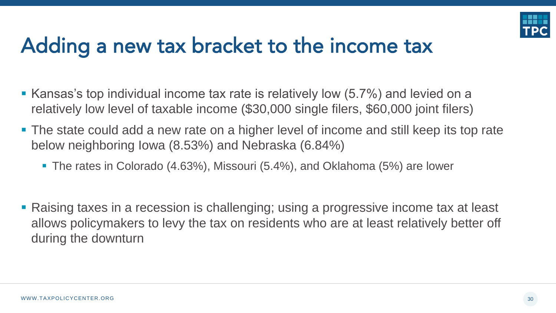

#### Adding a new tax bracket to the income tax

- Kansas's top individual income tax rate is relatively low (5.7%) and levied on a relatively low level of taxable income (\$30,000 single filers, \$60,000 joint filers)
- The state could add a new rate on a higher level of income and still keep its top rate below neighboring Iowa (8.53%) and Nebraska (6.84%)
	- The rates in Colorado (4.63%), Missouri (5.4%), and Oklahoma (5%) are lower
- Raising taxes in a recession is challenging; using a progressive income tax at least allows policymakers to levy the tax on residents who are at least relatively better off during the downturn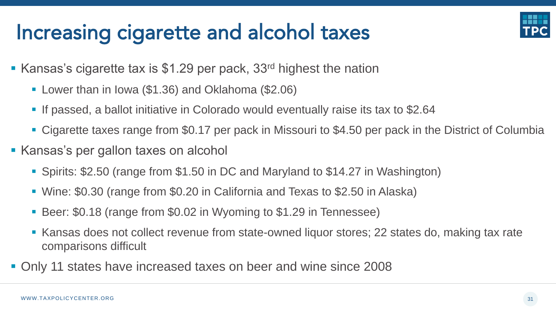#### Increasing cigarette and alcohol taxes



- $\blacksquare$  Kansas's cigarette tax is \$1.29 per pack, 33<sup>rd</sup> highest the nation
	- Lower than in Iowa (\$1.36) and Oklahoma (\$2.06)
	- If passed, a ballot initiative in Colorado would eventually raise its tax to \$2.64
	- Cigarette taxes range from \$0.17 per pack in Missouri to \$4.50 per pack in the District of Columbia
- Kansas's per gallon taxes on alcohol
	- Spirits: \$2.50 (range from \$1.50 in DC and Maryland to \$14.27 in Washington)
	- Wine: \$0.30 (range from \$0.20 in California and Texas to \$2.50 in Alaska)
	- Beer: \$0.18 (range from \$0.02 in Wyoming to \$1.29 in Tennessee)
	- Kansas does not collect revenue from state-owned liquor stores; 22 states do, making tax rate comparisons difficult
- Only 11 states have increased taxes on beer and wine since 2008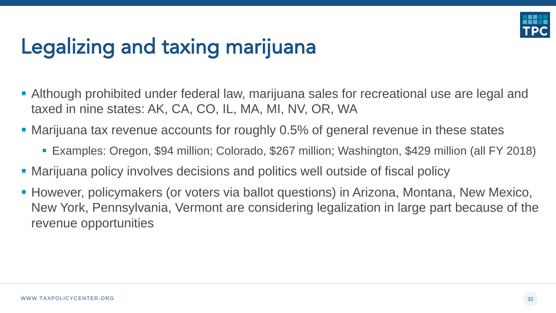

## Legalizing and taxing marijuana

- **Although prohibited under federal law, marijuana sales for recreational use are legal and** taxed in nine states: AK, CA, CO, IL, MA, MI, NV, OR, WA
- Marijuana tax revenue accounts for roughly 0.5% of general revenue in these states
	- Examples: Oregon, \$94 million; Colorado, \$267 million; Washington, \$429 million (all FY 2018)
- **Marijuana policy involves decisions and politics well outside of fiscal policy**
- However, policymakers (or voters via ballot questions) in Arizona, Montana, New Mexico, New York, Pennsylvania, Vermont are considering legalization in large part because of the revenue opportunities